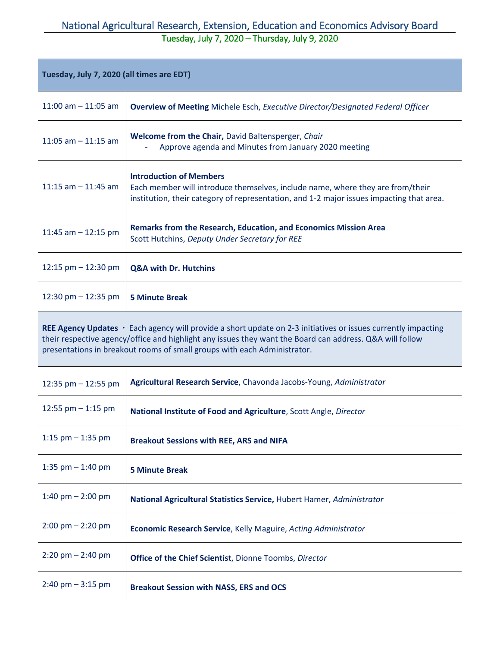## National Agricultural Research, Extension, Education and Economics Advisory Board Tuesday, July 7, 2020 – Thursday, July 9, 2020

| Tuesday, July 7, 2020 (all times are EDT)                                                                                                                                                                                                                                                             |                                                                                                                                                                                                              |  |
|-------------------------------------------------------------------------------------------------------------------------------------------------------------------------------------------------------------------------------------------------------------------------------------------------------|--------------------------------------------------------------------------------------------------------------------------------------------------------------------------------------------------------------|--|
| 11:00 am $-$ 11:05 am                                                                                                                                                                                                                                                                                 | <b>Overview of Meeting Michele Esch, Executive Director/Designated Federal Officer</b>                                                                                                                       |  |
| 11:05 am $-$ 11:15 am                                                                                                                                                                                                                                                                                 | Welcome from the Chair, David Baltensperger, Chair<br>Approve agenda and Minutes from January 2020 meeting                                                                                                   |  |
| 11:15 am $-$ 11:45 am                                                                                                                                                                                                                                                                                 | <b>Introduction of Members</b><br>Each member will introduce themselves, include name, where they are from/their<br>institution, their category of representation, and 1-2 major issues impacting that area. |  |
| 11:45 am $-$ 12:15 pm                                                                                                                                                                                                                                                                                 | <b>Remarks from the Research, Education, and Economics Mission Area</b><br>Scott Hutchins, Deputy Under Secretary for REE                                                                                    |  |
| 12:15 $pm - 12:30$ pm                                                                                                                                                                                                                                                                                 | <b>Q&amp;A with Dr. Hutchins</b>                                                                                                                                                                             |  |
| 12:30 pm $-$ 12:35 pm                                                                                                                                                                                                                                                                                 | <b>5 Minute Break</b>                                                                                                                                                                                        |  |
| REE Agency Updates • Each agency will provide a short update on 2-3 initiatives or issues currently impacting<br>their respective agency/office and highlight any issues they want the Board can address. Q&A will follow<br>presentations in breakout rooms of small groups with each Administrator. |                                                                                                                                                                                                              |  |
| 12:35 pm $-$ 12:55 pm                                                                                                                                                                                                                                                                                 | Agricultural Research Service, Chavonda Jacobs-Young, Administrator                                                                                                                                          |  |
| 12:55 pm $-$ 1:15 pm                                                                                                                                                                                                                                                                                  | National Institute of Food and Agriculture, Scott Angle, Director                                                                                                                                            |  |
| 1:15 $pm - 1:35$ pm                                                                                                                                                                                                                                                                                   | <b>Breakout Sessions with REE, ARS and NIFA</b>                                                                                                                                                              |  |
| 1:35 pm $-$ 1:40 pm                                                                                                                                                                                                                                                                                   | <b>5 Minute Break</b>                                                                                                                                                                                        |  |
| 1:40 pm $-$ 2:00 pm                                                                                                                                                                                                                                                                                   | National Agricultural Statistics Service, Hubert Hamer, Administrator                                                                                                                                        |  |
| $2:00 \text{ pm} - 2:20 \text{ pm}$                                                                                                                                                                                                                                                                   | <b>Economic Research Service, Kelly Maguire, Acting Administrator</b>                                                                                                                                        |  |
| $2:20 \text{ pm} - 2:40 \text{ pm}$                                                                                                                                                                                                                                                                   | <b>Office of the Chief Scientist, Dionne Toombs, Director</b>                                                                                                                                                |  |
| $2:40$ pm $-3:15$ pm                                                                                                                                                                                                                                                                                  | <b>Breakout Session with NASS, ERS and OCS</b>                                                                                                                                                               |  |